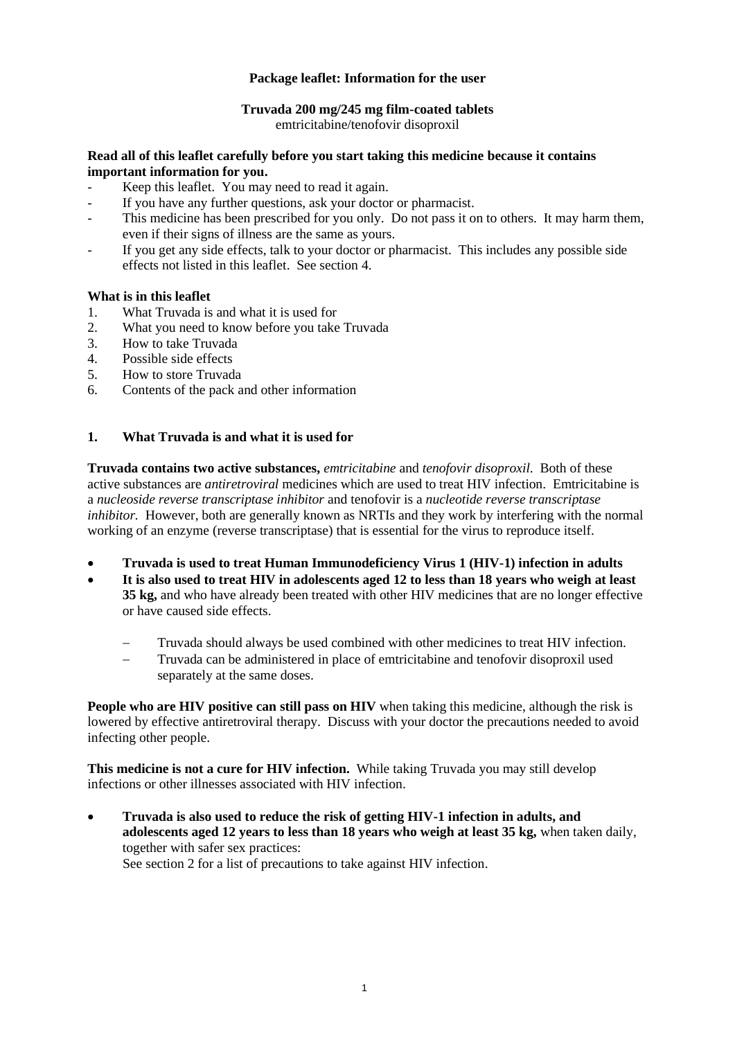## **Package leaflet: Information for the user**

#### **Truvada 200 mg/245 mg film-coated tablets**

emtricitabine/tenofovir disoproxil

#### **Read all of this leaflet carefully before you start taking this medicine because it contains important information for you.**

- Keep this leaflet. You may need to read it again.
- If you have any further questions, ask your doctor or pharmacist.
- This medicine has been prescribed for you only. Do not pass it on to others. It may harm them, even if their signs of illness are the same as yours.
- If you get any side effects, talk to your doctor or pharmacist. This includes any possible side effects not listed in this leaflet. See section 4.

# **What is in this leaflet**<br>1. What Truvada is

- What Truvada is and what it is used for
- 2. What you need to know before you take Truvada
- 3. How to take Truvada
- 4. Possible side effects
- 5. How to store Truvada
- 6. Contents of the pack and other information

#### **1. What Truvada is and what it is used for**

**Truvada contains two active substances,** *emtricitabine* and *tenofovir disoproxil*. Both of these active substances are *antiretroviral* medicines which are used to treat HIV infection. Emtricitabine is a *nucleoside reverse transcriptase inhibitor* and tenofovir is a *nucleotide reverse transcriptase inhibitor.* However, both are generally known as NRTIs and they work by interfering with the normal working of an enzyme (reverse transcriptase) that is essential for the virus to reproduce itself.

- **Truvada is used to treat Human Immunodeficiency Virus 1 (HIV-1) infection in adults**
- **It is also used to treat HIV in adolescents aged 12 to less than 18 years who weigh at least 35 kg,** and who have already been treated with other HIV medicines that are no longer effective or have caused side effects.
	- Truvada should always be used combined with other medicines to treat HIV infection.
	- − Truvada can be administered in place of emtricitabine and tenofovir disoproxil used separately at the same doses.

**People who are HIV positive can still pass on HIV** when taking this medicine, although the risk is lowered by effective antiretroviral therapy. Discuss with your doctor the precautions needed to avoid infecting other people.

**This medicine is not a cure for HIV infection.** While taking Truvada you may still develop infections or other illnesses associated with HIV infection.

• **Truvada is also used to reduce the risk of getting HIV-1 infection in adults, and adolescents aged 12 years to less than 18 years who weigh at least 35 kg,** when taken daily, together with safer sex practices: See section 2 for a list of precautions to take against HIV infection.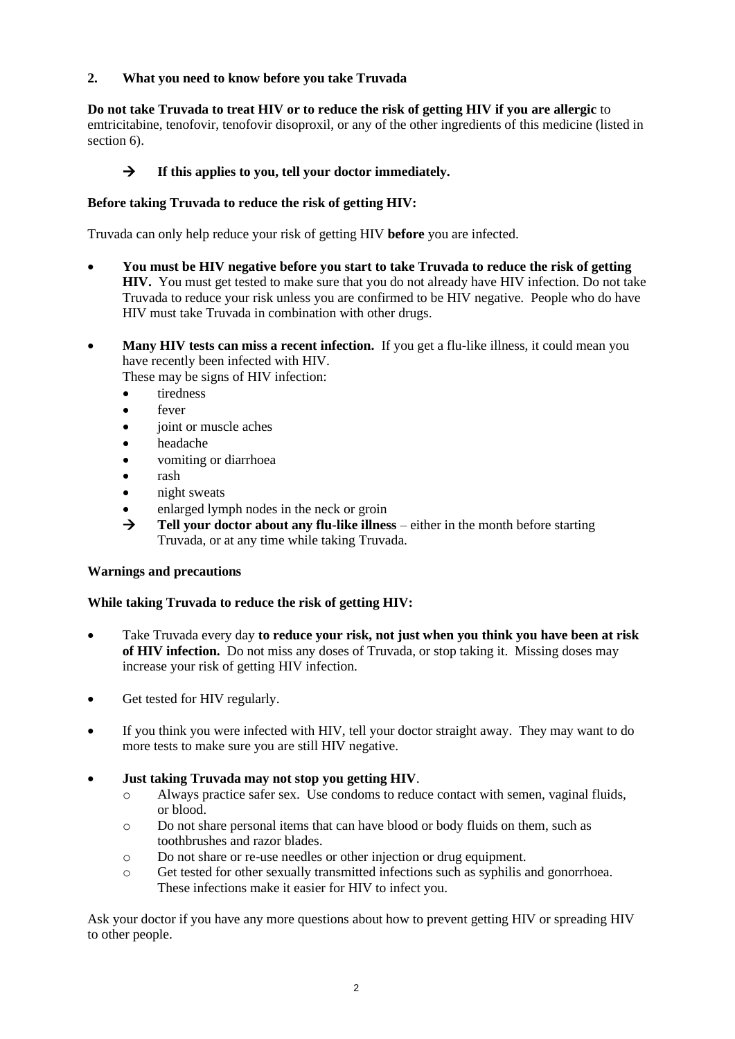## **2. What you need to know before you take Truvada**

## **Do not take Truvada to treat HIV or to reduce the risk of getting HIV if you are allergic** to

emtricitabine, tenofovir, tenofovir disoproxil, or any of the other ingredients of this medicine (listed in section 6).

## → **If this applies to you, tell your doctor immediately.**

## **Before taking Truvada to reduce the risk of getting HIV:**

Truvada can only help reduce your risk of getting HIV **before** you are infected.

- **You must be HIV negative before you start to take Truvada to reduce the risk of getting HIV.** You must get tested to make sure that you do not already have HIV infection. Do not take Truvada to reduce your risk unless you are confirmed to be HIV negative. People who do have HIV must take Truvada in combination with other drugs.
- **Many HIV tests can miss a recent infection.** If you get a flu-like illness, it could mean you have recently been infected with HIV.

These may be signs of HIV infection:

- **tiredness**
- fever
- joint or muscle aches
- headache
- vomiting or diarrhoea
- rash
- night sweats
- enlarged lymph nodes in the neck or groin
- $\rightarrow$  **Tell your doctor about any flu-like illness** either in the month before starting Truvada, or at any time while taking Truvada.

## **Warnings and precautions**

## **While taking Truvada to reduce the risk of getting HIV:**

- Take Truvada every day **to reduce your risk, not just when you think you have been at risk of HIV infection.** Do not miss any doses of Truvada, or stop taking it. Missing doses may increase your risk of getting HIV infection.
- Get tested for HIV regularly.
- If you think you were infected with HIV, tell your doctor straight away. They may want to do more tests to make sure you are still HIV negative.

## • **Just taking Truvada may not stop you getting HIV**.

- o Always practice safer sex. Use condoms to reduce contact with semen, vaginal fluids, or blood.
- o Do not share personal items that can have blood or body fluids on them, such as toothbrushes and razor blades.
- o Do not share or re-use needles or other injection or drug equipment.
- o Get tested for other sexually transmitted infections such as syphilis and gonorrhoea. These infections make it easier for HIV to infect you.

Ask your doctor if you have any more questions about how to prevent getting HIV or spreading HIV to other people.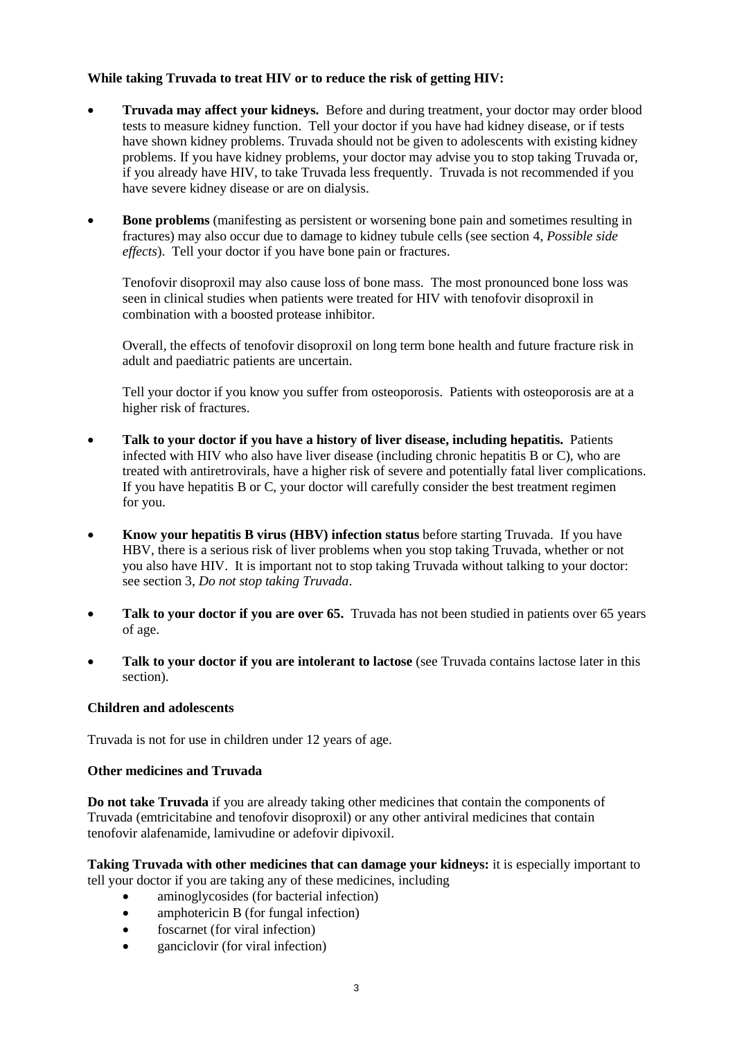## **While taking Truvada to treat HIV or to reduce the risk of getting HIV:**

- **Truvada may affect your kidneys.** Before and during treatment, your doctor may order blood tests to measure kidney function. Tell your doctor if you have had kidney disease, or if tests have shown kidney problems. Truvada should not be given to adolescents with existing kidney problems. If you have kidney problems, your doctor may advise you to stop taking Truvada or, if you already have HIV, to take Truvada less frequently. Truvada is not recommended if you have severe kidney disease or are on dialysis.
- **Bone problems** (manifesting as persistent or worsening bone pain and sometimes resulting in fractures) may also occur due to damage to kidney tubule cells (see section 4, *Possible side effects*). Tell your doctor if you have bone pain or fractures.

Tenofovir disoproxil may also cause loss of bone mass. The most pronounced bone loss was seen in clinical studies when patients were treated for HIV with tenofovir disoproxil in combination with a boosted protease inhibitor.

Overall, the effects of tenofovir disoproxil on long term bone health and future fracture risk in adult and paediatric patients are uncertain.

Tell your doctor if you know you suffer from osteoporosis. Patients with osteoporosis are at a higher risk of fractures.

- **Talk to your doctor if you have a history of liver disease, including hepatitis.** Patients infected with HIV who also have liver disease (including chronic hepatitis B or C), who are treated with antiretrovirals, have a higher risk of severe and potentially fatal liver complications. If you have hepatitis B or C, your doctor will carefully consider the best treatment regimen for you.
- **Know your hepatitis B virus (HBV) infection status** before starting Truvada. If you have HBV, there is a serious risk of liver problems when you stop taking Truvada, whether or not you also have HIV. It is important not to stop taking Truvada without talking to your doctor: see section 3, *Do not stop taking Truvada*.
- **Talk to your doctor if you are over 65.** Truvada has not been studied in patients over 65 years of age.
- **Talk to your doctor if you are intolerant to lactose** (see Truvada contains lactose later in this section).

#### **Children and adolescents**

Truvada is not for use in children under 12 years of age.

#### **Other medicines and Truvada**

**Do not take Truvada** if you are already taking other medicines that contain the components of Truvada (emtricitabine and tenofovir disoproxil) or any other antiviral medicines that contain tenofovir alafenamide, lamivudine or adefovir dipivoxil.

**Taking Truvada with other medicines that can damage your kidneys:** it is especially important to tell your doctor if you are taking any of these medicines, including

- aminoglycosides (for bacterial infection)
- amphotericin B (for fungal infection)
- foscarnet (for viral infection)
- ganciclovir (for viral infection)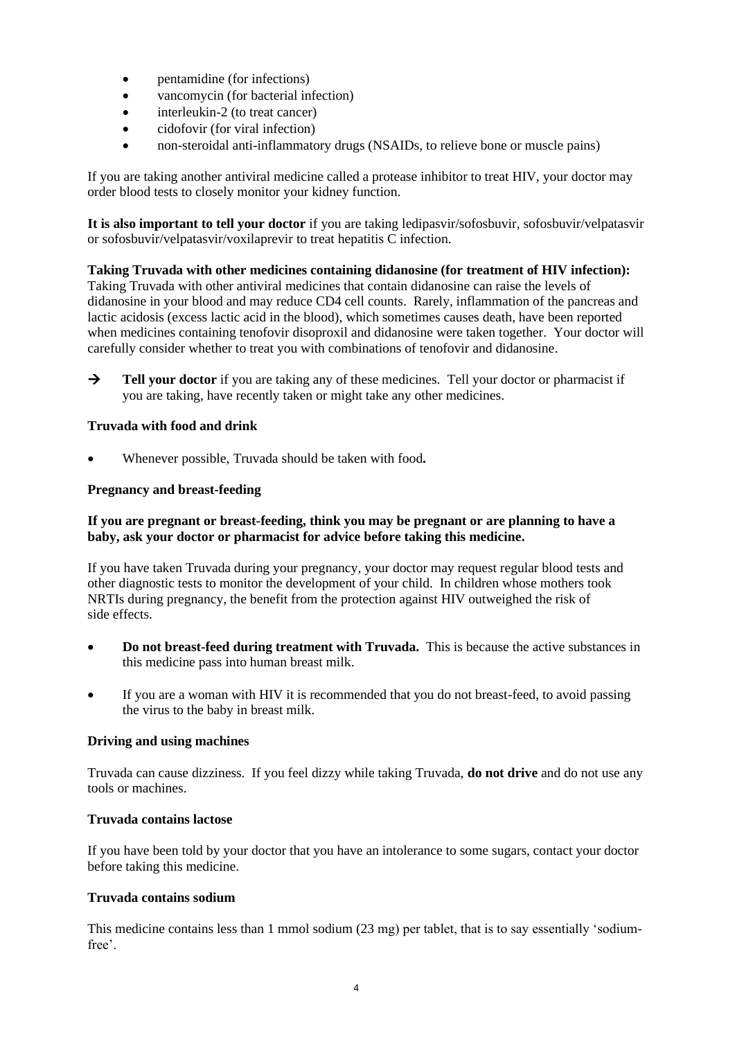- pentamidine (for infections)
- vancomycin (for bacterial infection)
- interleukin-2 (to treat cancer)
- cidofovir (for viral infection)
- non-steroidal anti-inflammatory drugs (NSAIDs, to relieve bone or muscle pains)

If you are taking another antiviral medicine called a protease inhibitor to treat HIV, your doctor may order blood tests to closely monitor your kidney function.

**It is also important to tell your doctor** if you are taking ledipasvir/sofosbuvir, sofosbuvir/velpatasvir or sofosbuvir/velpatasvir/voxilaprevir to treat hepatitis C infection.

**Taking Truvada with other medicines containing didanosine (for treatment of HIV infection):** Taking Truvada with other antiviral medicines that contain didanosine can raise the levels of didanosine in your blood and may reduce CD4 cell counts. Rarely, inflammation of the pancreas and lactic acidosis (excess lactic acid in the blood), which sometimes causes death, have been reported when medicines containing tenofovir disoproxil and didanosine were taken together. Your doctor will carefully consider whether to treat you with combinations of tenofovir and didanosine.

→ **Tell your doctor** if you are taking any of these medicines. Tell your doctor or pharmacist if you are taking, have recently taken or might take any other medicines.

## **Truvada with food and drink**

• Whenever possible, Truvada should be taken with food**.**

#### **Pregnancy and breast-feeding**

#### **If you are pregnant or breast-feeding, think you may be pregnant or are planning to have a baby, ask your doctor or pharmacist for advice before taking this medicine.**

If you have taken Truvada during your pregnancy, your doctor may request regular blood tests and other diagnostic tests to monitor the development of your child. In children whose mothers took NRTIs during pregnancy, the benefit from the protection against HIV outweighed the risk of side effects.

- **Do not breast-feed during treatment with Truvada.** This is because the active substances in this medicine pass into human breast milk.
- If you are a woman with HIV it is recommended that you do not breast-feed, to avoid passing the virus to the baby in breast milk.

#### **Driving and using machines**

Truvada can cause dizziness. If you feel dizzy while taking Truvada, **do not drive** and do not use any tools or machines.

#### **Truvada contains lactose**

If you have been told by your doctor that you have an intolerance to some sugars, contact your doctor before taking this medicine.

#### **Truvada contains sodium**

This medicine contains less than 1 mmol sodium (23 mg) per tablet, that is to say essentially 'sodiumfree'.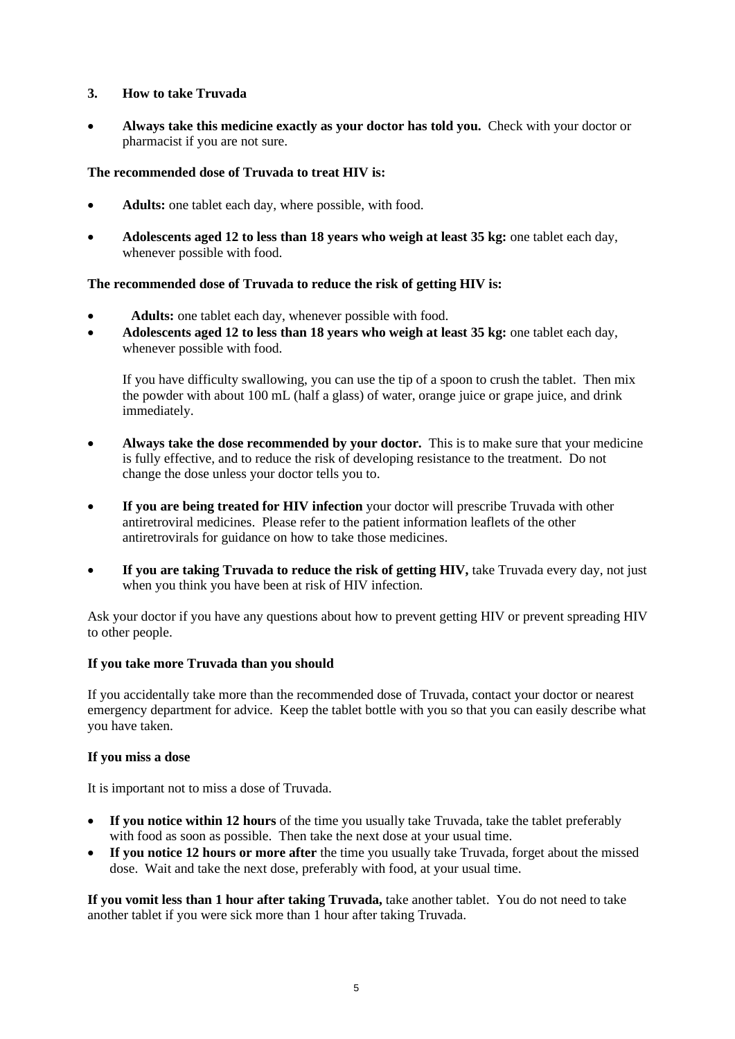## **3. How to take Truvada**

• **Always take this medicine exactly as your doctor has told you.** Check with your doctor or pharmacist if you are not sure.

## **The recommended dose of Truvada to treat HIV is:**

- **Adults:** one tablet each day, where possible, with food.
- **Adolescents aged 12 to less than 18 years who weigh at least 35 kg:** one tablet each day, whenever possible with food.

#### **The recommended dose of Truvada to reduce the risk of getting HIV is:**

- Adults: one tablet each day, whenever possible with food.
- **Adolescents aged 12 to less than 18 years who weigh at least 35 kg:** one tablet each day, whenever possible with food.

If you have difficulty swallowing, you can use the tip of a spoon to crush the tablet. Then mix the powder with about 100 mL (half a glass) of water, orange juice or grape juice, and drink immediately.

- **Always take the dose recommended by your doctor.** This is to make sure that your medicine is fully effective, and to reduce the risk of developing resistance to the treatment. Do not change the dose unless your doctor tells you to.
- **If you are being treated for HIV infection** your doctor will prescribe Truvada with other antiretroviral medicines. Please refer to the patient information leaflets of the other antiretrovirals for guidance on how to take those medicines.
- **If you are taking Truvada to reduce the risk of getting HIV, take Truvada every day, not just** when you think you have been at risk of HIV infection.

Ask your doctor if you have any questions about how to prevent getting HIV or prevent spreading HIV to other people.

#### **If you take more Truvada than you should**

If you accidentally take more than the recommended dose of Truvada, contact your doctor or nearest emergency department for advice. Keep the tablet bottle with you so that you can easily describe what you have taken.

#### **If you miss a dose**

It is important not to miss a dose of Truvada.

- **If you notice within 12 hours** of the time you usually take Truvada, take the tablet preferably with food as soon as possible. Then take the next dose at your usual time.
- **If you notice 12 hours or more after** the time you usually take Truvada, forget about the missed dose. Wait and take the next dose, preferably with food, at your usual time.

**If you vomit less than 1 hour after taking Truvada,** take another tablet. You do not need to take another tablet if you were sick more than 1 hour after taking Truvada.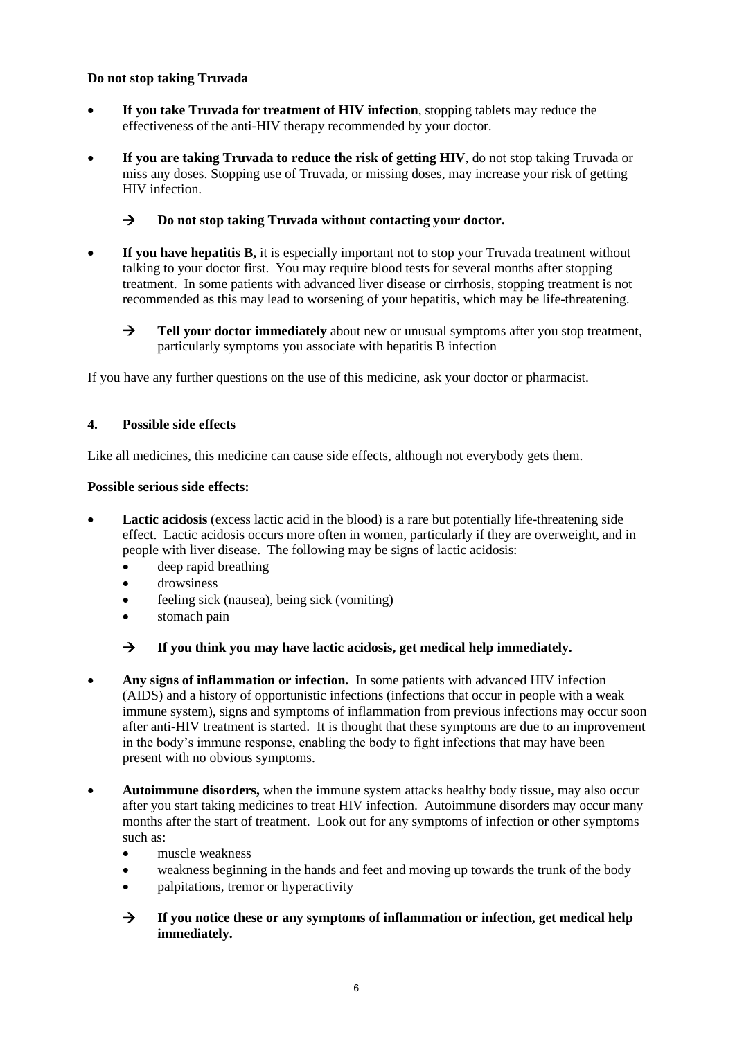## **Do not stop taking Truvada**

- **If you take Truvada for treatment of HIV infection**, stopping tablets may reduce the effectiveness of the anti-HIV therapy recommended by your doctor.
- **If you are taking Truvada to reduce the risk of getting HIV**, do not stop taking Truvada or miss any doses. Stopping use of Truvada, or missing doses, may increase your risk of getting HIV infection.

## → **Do not stop taking Truvada without contacting your doctor.**

- **If you have hepatitis B,** it is especially important not to stop your Truvada treatment without talking to your doctor first. You may require blood tests for several months after stopping treatment. In some patients with advanced liver disease or cirrhosis, stopping treatment is not recommended as this may lead to worsening of your hepatitis, which may be life-threatening.
	- → **Tell your doctor immediately** about new or unusual symptoms after you stop treatment, particularly symptoms you associate with hepatitis B infection

If you have any further questions on the use of this medicine, ask your doctor or pharmacist.

#### **4. Possible side effects**

Like all medicines, this medicine can cause side effects, although not everybody gets them.

#### **Possible serious side effects:**

- **Lactic acidosis** (excess lactic acid in the blood) is a rare but potentially life-threatening side effect. Lactic acidosis occurs more often in women, particularly if they are overweight, and in people with liver disease. The following may be signs of lactic acidosis:
	- deep rapid breathing
	- drowsiness
	- feeling sick (nausea), being sick (vomiting)
	- stomach pain

## → **If you think you may have lactic acidosis, get medical help immediately.**

- **Any signs of inflammation or infection.** In some patients with advanced HIV infection (AIDS) and a history of opportunistic infections (infections that occur in people with a weak immune system), signs and symptoms of inflammation from previous infections may occur soon after anti-HIV treatment is started. It is thought that these symptoms are due to an improvement in the body's immune response, enabling the body to fight infections that may have been present with no obvious symptoms.
- **Autoimmune disorders,** when the immune system attacks healthy body tissue, may also occur after you start taking medicines to treat HIV infection. Autoimmune disorders may occur many months after the start of treatment. Look out for any symptoms of infection or other symptoms such as:
	- muscle weakness
	- weakness beginning in the hands and feet and moving up towards the trunk of the body
	- palpitations, tremor or hyperactivity
	- → **If you notice these or any symptoms of inflammation or infection, get medical help immediately.**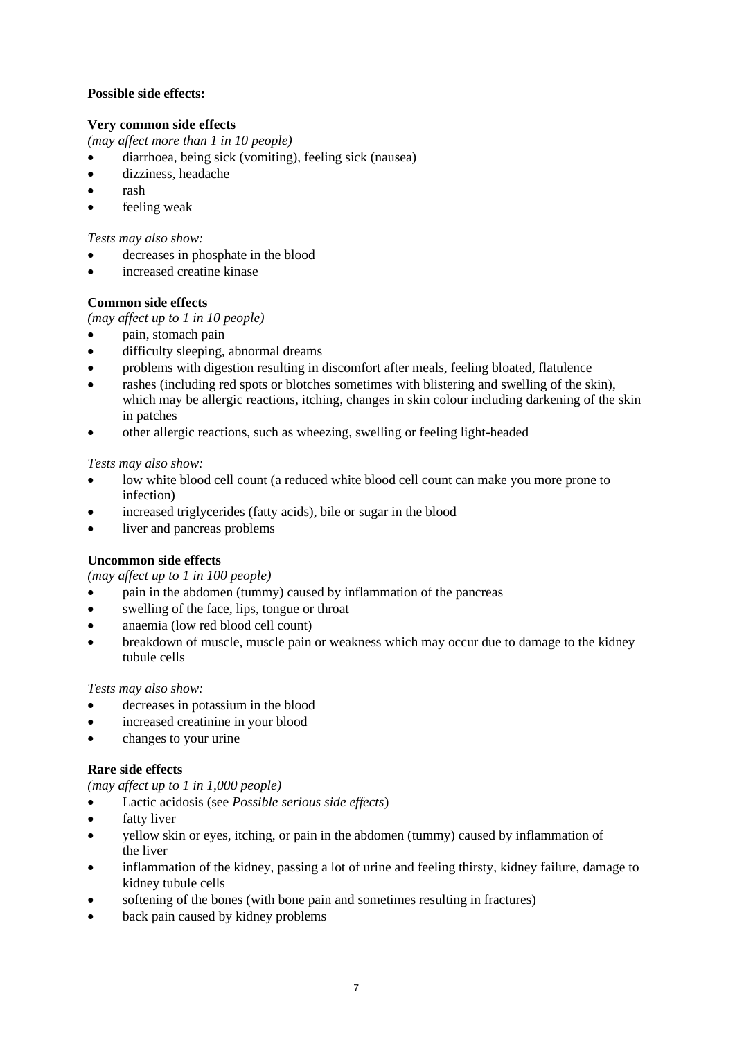## **Possible side effects:**

## **Very common side effects**

*(may affect more than 1 in 10 people)*

- diarrhoea, being sick (vomiting), feeling sick (nausea)
- dizziness, headache
- rash
- feeling weak

*Tests may also show:*

- decreases in phosphate in the blood
- increased creatine kinase

## **Common side effects**

*(may affect up to 1 in 10 people)*

- pain, stomach pain
- difficulty sleeping, abnormal dreams
- problems with digestion resulting in discomfort after meals, feeling bloated, flatulence
- rashes (including red spots or blotches sometimes with blistering and swelling of the skin), which may be allergic reactions, itching, changes in skin colour including darkening of the skin in patches
- other allergic reactions, such as wheezing, swelling or feeling light-headed

*Tests may also show:*

- low white blood cell count (a reduced white blood cell count can make you more prone to infection)
- increased triglycerides (fatty acids), bile or sugar in the blood
- liver and pancreas problems

# **Uncommon side effects**

*(may affect up to 1 in 100 people)*

- pain in the abdomen (tummy) caused by inflammation of the pancreas
- swelling of the face, lips, tongue or throat
- anaemia (low red blood cell count)
- breakdown of muscle, muscle pain or weakness which may occur due to damage to the kidney tubule cells

## *Tests may also show:*

- decreases in potassium in the blood
- increased creatinine in your blood
- changes to your urine

## **Rare side effects**

*(may affect up to 1 in 1,000 people)*

- Lactic acidosis (see *Possible serious side effects*)
- fatty liver
- yellow skin or eyes, itching, or pain in the abdomen (tummy) caused by inflammation of the liver
- inflammation of the kidney, passing a lot of urine and feeling thirsty, kidney failure, damage to kidney tubule cells
- softening of the bones (with bone pain and sometimes resulting in fractures)
- back pain caused by kidney problems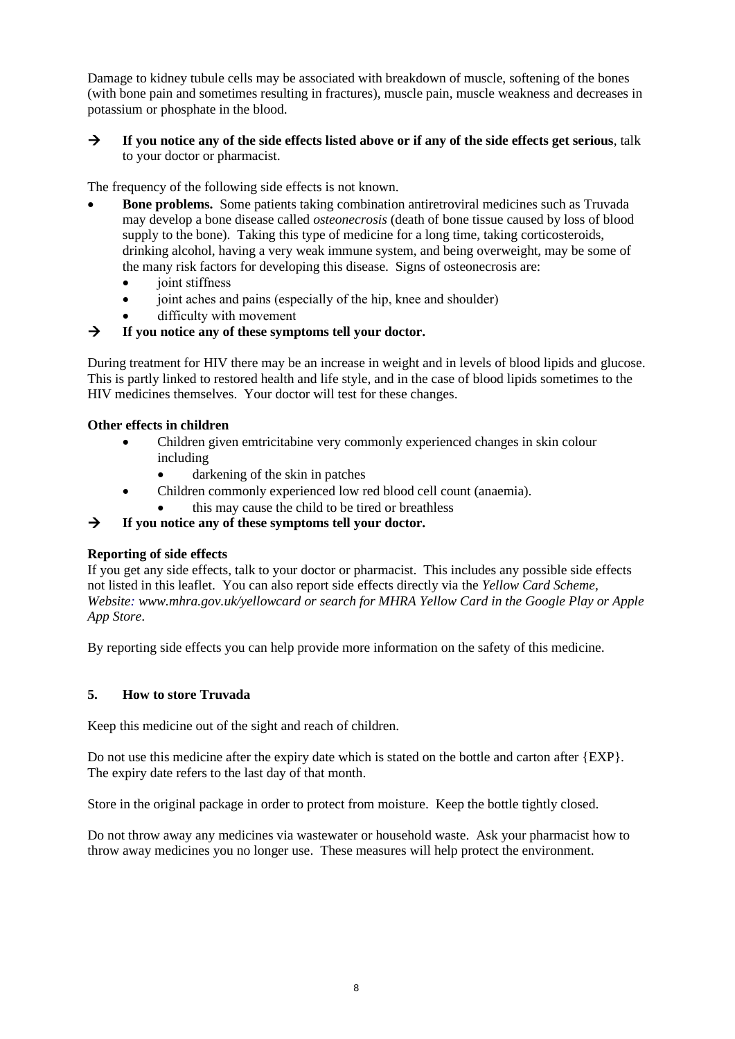Damage to kidney tubule cells may be associated with breakdown of muscle, softening of the bones (with bone pain and sometimes resulting in fractures), muscle pain, muscle weakness and decreases in potassium or phosphate in the blood.

## → **If you notice any of the side effects listed above or if any of the side effects get serious**, talk to your doctor or pharmacist.

The frequency of the following side effects is not known.

- **Bone problems.** Some patients taking combination antiretroviral medicines such as Truvada may develop a bone disease called *osteonecrosis* (death of bone tissue caused by loss of blood supply to the bone). Taking this type of medicine for a long time, taking corticosteroids, drinking alcohol, having a very weak immune system, and being overweight, may be some of the many risk factors for developing this disease. Signs of osteonecrosis are:
	- joint stiffness
	- joint aches and pains (especially of the hip, knee and shoulder)
	- difficulty with movement

# → **If you notice any of these symptoms tell your doctor.**

During treatment for HIV there may be an increase in weight and in levels of blood lipids and glucose. This is partly linked to restored health and life style, and in the case of blood lipids sometimes to the HIV medicines themselves. Your doctor will test for these changes.

#### **Other effects in children**

- Children given emtricitabine very commonly experienced changes in skin colour including
	- darkening of the skin in patches
- Children commonly experienced low red blood cell count (anaemia).
	- this may cause the child to be tired or breathless

→ **If you notice any of these symptoms tell your doctor.**

## **Reporting of side effects**

If you get any side effects, talk to your doctor or pharmacist. This includes any possible side effects not listed in this leaflet. You can also report side effects directly via the *Yellow Card Scheme, Website: www.mhra.gov.uk/yellowcard or search for MHRA Yellow Card in the Google Play or Apple App Store*.

By reporting side effects you can help provide more information on the safety of this medicine.

## **5. How to store Truvada**

Keep this medicine out of the sight and reach of children.

Do not use this medicine after the expiry date which is stated on the bottle and carton after {EXP}. The expiry date refers to the last day of that month.

Store in the original package in order to protect from moisture. Keep the bottle tightly closed.

Do not throw away any medicines via wastewater or household waste. Ask your pharmacist how to throw away medicines you no longer use. These measures will help protect the environment.